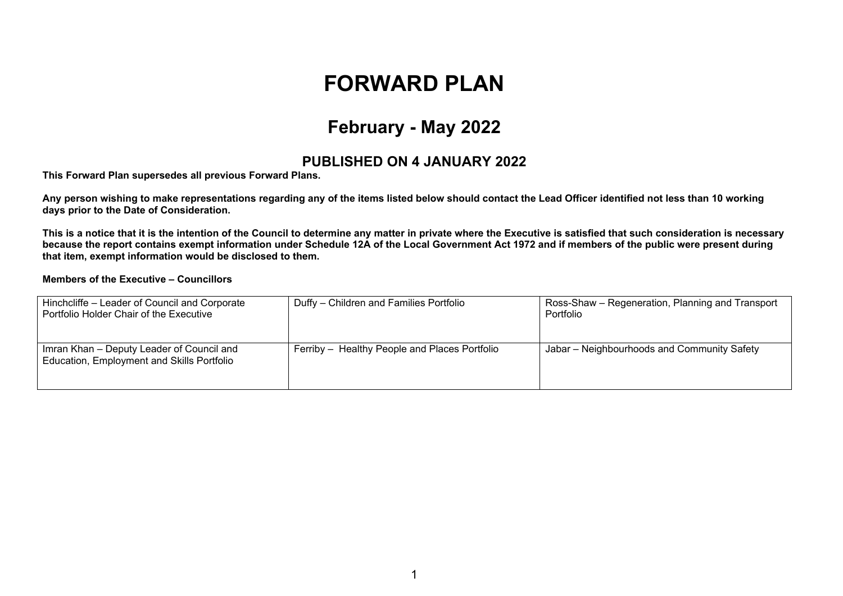# **FORWARD PLAN**

## **February - May 2022**

#### **PUBLISHED ON 4 JANUARY 2022**

**This Forward Plan supersedes all previous Forward Plans.**

Any person wishing to make representations regarding any of the items listed below should contact the Lead Officer identified not less than 10 working **days prior to the Date of Consideration.**

This is a notice that it is the intention of the Council to determine any matter in private where the Executive is satisfied that such consideration is necessary because the report contains exempt information under Schedule 12A of the Local Government Act 1972 and if members of the public were present during **that item, exempt information would be disclosed to them.**

#### **Members of the Executive – Councillors**

| Hinchcliffe - Leader of Council and Corporate<br>Portfolio Holder Chair of the Executive | Duffy – Children and Families Portfolio       | Ross-Shaw – Regeneration, Planning and Transport<br>Portfolio |
|------------------------------------------------------------------------------------------|-----------------------------------------------|---------------------------------------------------------------|
| Imran Khan - Deputy Leader of Council and<br>Education, Employment and Skills Portfolio  | Ferriby - Healthy People and Places Portfolio | Jabar - Neighbourhoods and Community Safety                   |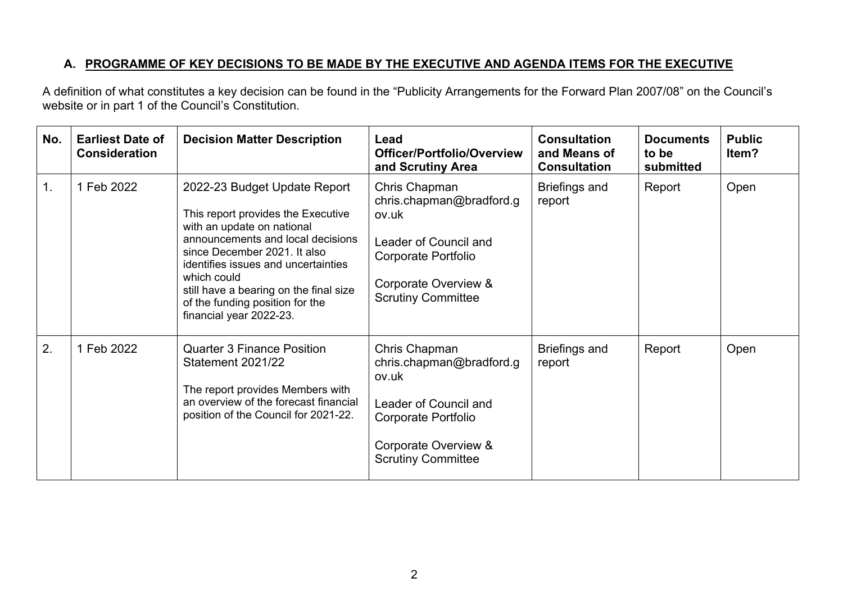### **A. PROGRAMME OF KEY DECISIONS TO BE MADE BY THE EXECUTIVE AND AGENDA ITEMS FOR THE EXECUTIVE**

A definition of what constitutes a key decision can be found in the "Publicity Arrangements for the Forward Plan 2007/08" on the Council's website or in part 1 of the Council's Constitution.

| No. | <b>Earliest Date of</b><br><b>Consideration</b> | <b>Decision Matter Description</b>                                                                                                                                                                                                                                                                                                  | Lead<br><b>Officer/Portfolio/Overview</b><br>and Scrutiny Area                                                                                          | <b>Consultation</b><br>and Means of<br><b>Consultation</b> | <b>Documents</b><br>to be<br>submitted | <b>Public</b><br>ltem? |
|-----|-------------------------------------------------|-------------------------------------------------------------------------------------------------------------------------------------------------------------------------------------------------------------------------------------------------------------------------------------------------------------------------------------|---------------------------------------------------------------------------------------------------------------------------------------------------------|------------------------------------------------------------|----------------------------------------|------------------------|
| 1.  | 1 Feb 2022                                      | 2022-23 Budget Update Report<br>This report provides the Executive<br>with an update on national<br>announcements and local decisions<br>since December 2021. It also<br>identifies issues and uncertainties<br>which could<br>still have a bearing on the final size<br>of the funding position for the<br>financial year 2022-23. | Chris Chapman<br>chris.chapman@bradford.g<br>ov.uk<br>Leader of Council and<br>Corporate Portfolio<br>Corporate Overview &<br><b>Scrutiny Committee</b> | Briefings and<br>report                                    | Report                                 | Open                   |
| 2.  | 1 Feb 2022                                      | <b>Quarter 3 Finance Position</b><br>Statement 2021/22<br>The report provides Members with<br>an overview of the forecast financial<br>position of the Council for 2021-22.                                                                                                                                                         | Chris Chapman<br>chris.chapman@bradford.g<br>ov.uk<br>Leader of Council and<br>Corporate Portfolio<br>Corporate Overview &<br><b>Scrutiny Committee</b> | <b>Briefings and</b><br>report                             | Report                                 | Open                   |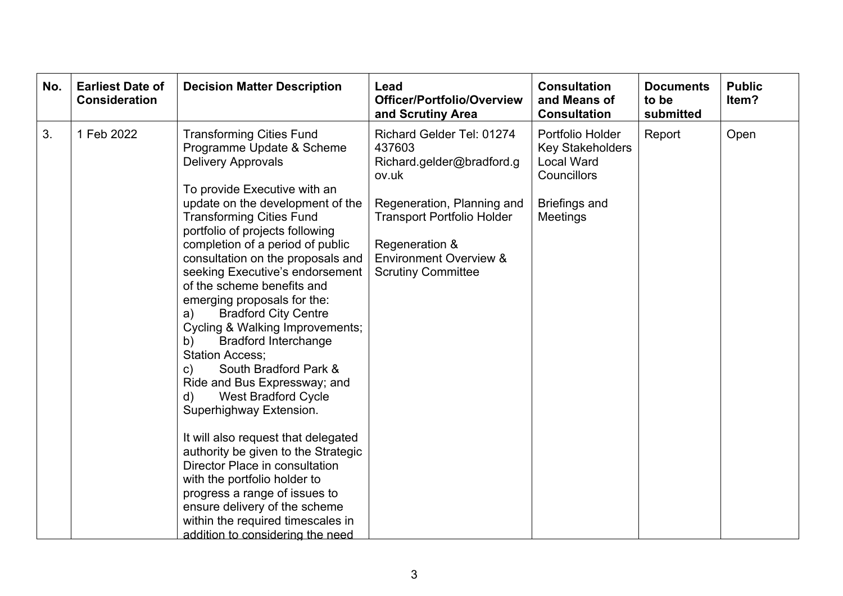| No. | <b>Earliest Date of</b><br><b>Consideration</b> | <b>Decision Matter Description</b>                                                                                                                                                                                                                                                                                                                                                                                                                                                                                                                                                                                                                                                                                                                                                                                                                                                                                                                                           | Lead<br>Officer/Portfolio/Overview<br>and Scrutiny Area                                                                                                                                                                          | <b>Consultation</b><br>and Means of<br><b>Consultation</b>                                                                 | <b>Documents</b><br>to be<br>submitted | <b>Public</b><br>Item? |
|-----|-------------------------------------------------|------------------------------------------------------------------------------------------------------------------------------------------------------------------------------------------------------------------------------------------------------------------------------------------------------------------------------------------------------------------------------------------------------------------------------------------------------------------------------------------------------------------------------------------------------------------------------------------------------------------------------------------------------------------------------------------------------------------------------------------------------------------------------------------------------------------------------------------------------------------------------------------------------------------------------------------------------------------------------|----------------------------------------------------------------------------------------------------------------------------------------------------------------------------------------------------------------------------------|----------------------------------------------------------------------------------------------------------------------------|----------------------------------------|------------------------|
| 3.  | 1 Feb 2022                                      | <b>Transforming Cities Fund</b><br>Programme Update & Scheme<br><b>Delivery Approvals</b><br>To provide Executive with an<br>update on the development of the<br><b>Transforming Cities Fund</b><br>portfolio of projects following<br>completion of a period of public<br>consultation on the proposals and<br>seeking Executive's endorsement<br>of the scheme benefits and<br>emerging proposals for the:<br><b>Bradford City Centre</b><br>a)<br>Cycling & Walking Improvements;<br><b>Bradford Interchange</b><br>b)<br><b>Station Access;</b><br>South Bradford Park &<br>C)<br>Ride and Bus Expressway; and<br><b>West Bradford Cycle</b><br>d)<br>Superhighway Extension.<br>It will also request that delegated<br>authority be given to the Strategic<br>Director Place in consultation<br>with the portfolio holder to<br>progress a range of issues to<br>ensure delivery of the scheme<br>within the required timescales in<br>addition to considering the need | Richard Gelder Tel: 01274<br>437603<br>Richard.gelder@bradford.g<br>ov.uk<br>Regeneration, Planning and<br><b>Transport Portfolio Holder</b><br>Regeneration &<br><b>Environment Overview &amp;</b><br><b>Scrutiny Committee</b> | Portfolio Holder<br><b>Key Stakeholders</b><br><b>Local Ward</b><br>Councillors<br><b>Briefings and</b><br><b>Meetings</b> | Report                                 | Open                   |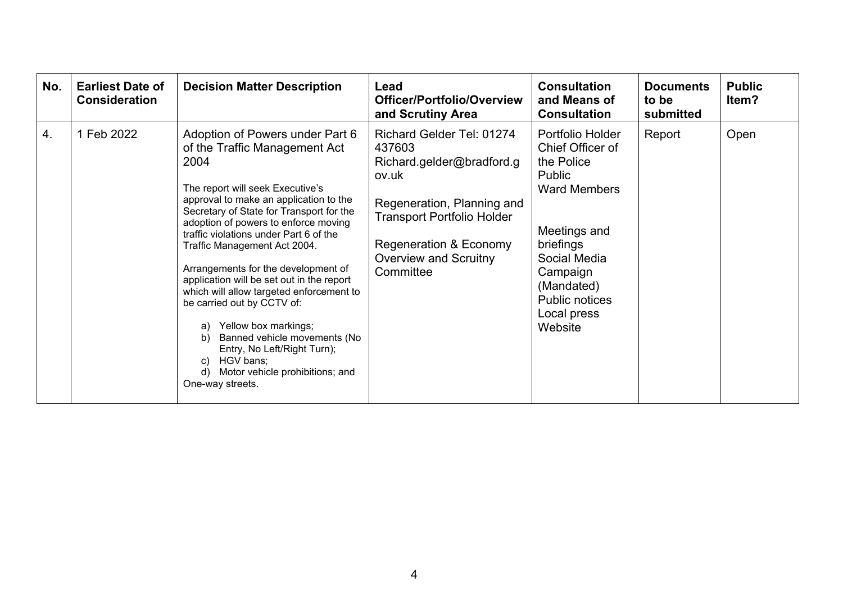| No.              | <b>Earliest Date of</b><br><b>Consideration</b> | <b>Decision Matter Description</b>                                                                                                                                                                                                                                                                                                                                                                                                                                                                                                                                                                                                                                    | Lead<br>Officer/Portfolio/Overview<br>and Scrutiny Area                                                                                                                                                             | <b>Consultation</b><br>and Means of<br><b>Consultation</b>                                                                                                                                                    | <b>Documents</b><br>to be<br>submitted | <b>Public</b><br>ltem? |
|------------------|-------------------------------------------------|-----------------------------------------------------------------------------------------------------------------------------------------------------------------------------------------------------------------------------------------------------------------------------------------------------------------------------------------------------------------------------------------------------------------------------------------------------------------------------------------------------------------------------------------------------------------------------------------------------------------------------------------------------------------------|---------------------------------------------------------------------------------------------------------------------------------------------------------------------------------------------------------------------|---------------------------------------------------------------------------------------------------------------------------------------------------------------------------------------------------------------|----------------------------------------|------------------------|
| $\overline{4}$ . | 1 Feb 2022                                      | Adoption of Powers under Part 6<br>of the Traffic Management Act<br>2004<br>The report will seek Executive's<br>approval to make an application to the<br>Secretary of State for Transport for the<br>adoption of powers to enforce moving<br>traffic violations under Part 6 of the<br>Traffic Management Act 2004.<br>Arrangements for the development of<br>application will be set out in the report<br>which will allow targeted enforcement to<br>be carried out by CCTV of:<br>Yellow box markings;<br>a)<br>Banned vehicle movements (No<br>b)<br>Entry, No Left/Right Turn);<br>HGV bans;<br>C)<br>Motor vehicle prohibitions; and<br>d)<br>One-way streets. | Richard Gelder Tel: 01274<br>437603<br>Richard.gelder@bradford.g<br>ov.uk<br>Regeneration, Planning and<br><b>Transport Portfolio Holder</b><br>Regeneration & Economy<br><b>Overview and Scruitny</b><br>Committee | Portfolio Holder<br>Chief Officer of<br>the Police<br>Public<br><b>Ward Members</b><br>Meetings and<br>briefings<br>Social Media<br>Campaign<br>(Mandated)<br><b>Public notices</b><br>Local press<br>Website | Report                                 | Open                   |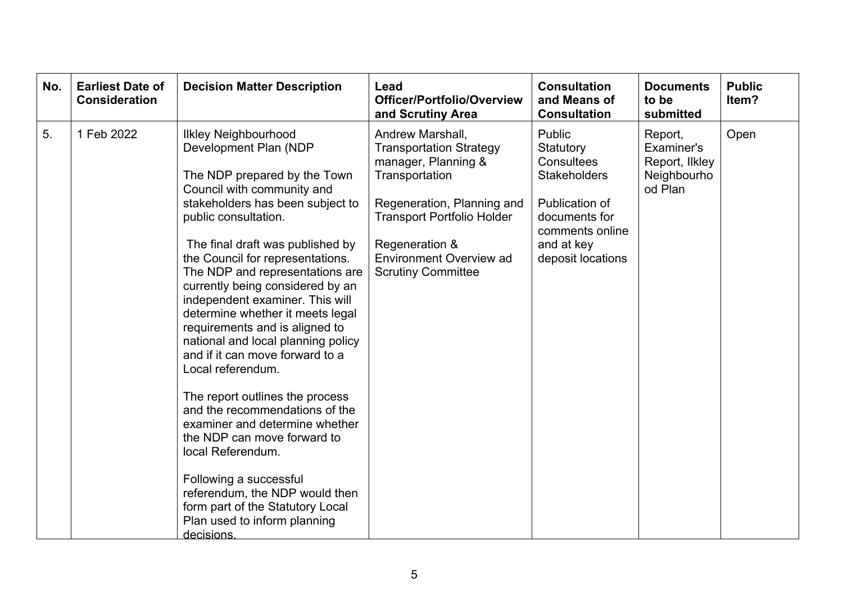| No. | <b>Earliest Date of</b><br><b>Consideration</b> | <b>Decision Matter Description</b>                                                                                                                                                                                                                                                                                                                                                                                                                                                                                                                                                                                                                                                                                                                                                                                                            | Lead<br>Officer/Portfolio/Overview<br>and Scrutiny Area                                                                                                                                                                                         | <b>Consultation</b><br>and Means of<br><b>Consultation</b>                                                                                        | <b>Documents</b><br>to be<br>submitted                            | <b>Public</b><br>Item? |
|-----|-------------------------------------------------|-----------------------------------------------------------------------------------------------------------------------------------------------------------------------------------------------------------------------------------------------------------------------------------------------------------------------------------------------------------------------------------------------------------------------------------------------------------------------------------------------------------------------------------------------------------------------------------------------------------------------------------------------------------------------------------------------------------------------------------------------------------------------------------------------------------------------------------------------|-------------------------------------------------------------------------------------------------------------------------------------------------------------------------------------------------------------------------------------------------|---------------------------------------------------------------------------------------------------------------------------------------------------|-------------------------------------------------------------------|------------------------|
| 5.  | 1 Feb 2022                                      | <b>Ilkley Neighbourhood</b><br>Development Plan (NDP<br>The NDP prepared by the Town<br>Council with community and<br>stakeholders has been subject to<br>public consultation.<br>The final draft was published by<br>the Council for representations.<br>The NDP and representations are<br>currently being considered by an<br>independent examiner. This will<br>determine whether it meets legal<br>requirements and is aligned to<br>national and local planning policy<br>and if it can move forward to a<br>Local referendum.<br>The report outlines the process<br>and the recommendations of the<br>examiner and determine whether<br>the NDP can move forward to<br>local Referendum.<br>Following a successful<br>referendum, the NDP would then<br>form part of the Statutory Local<br>Plan used to inform planning<br>decisions. | Andrew Marshall,<br><b>Transportation Strategy</b><br>manager, Planning &<br>Transportation<br>Regeneration, Planning and<br><b>Transport Portfolio Holder</b><br>Regeneration &<br><b>Environment Overview ad</b><br><b>Scrutiny Committee</b> | Public<br>Statutory<br>Consultees<br><b>Stakeholders</b><br>Publication of<br>documents for<br>comments online<br>and at key<br>deposit locations | Report,<br>Examiner's<br>Report, Ilkley<br>Neighbourho<br>od Plan | Open                   |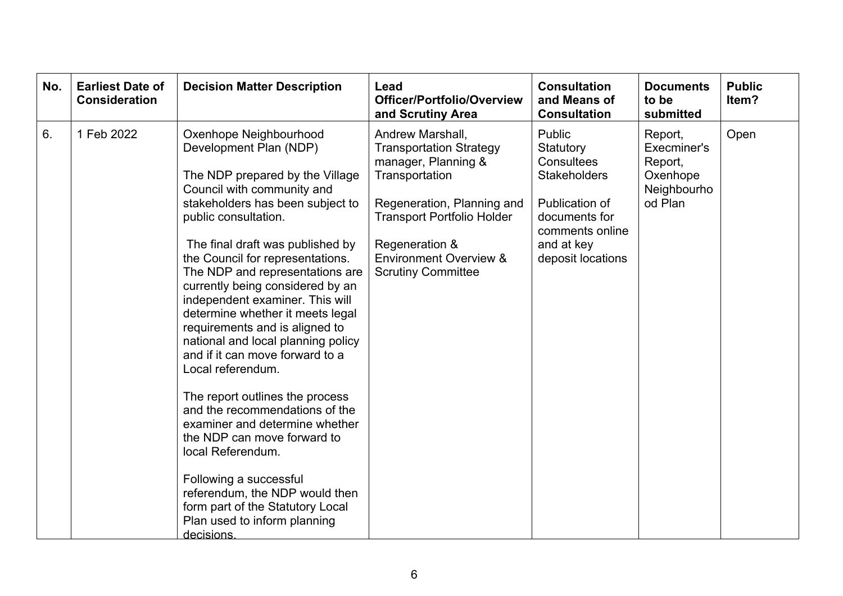| No. | <b>Earliest Date of</b><br><b>Consideration</b> | <b>Decision Matter Description</b>                                                                                                                                                                                                                                                                                                                                                                                                                                                                                                                                                                                                                                                                                                                                                                                                           | Lead<br>Officer/Portfolio/Overview<br>and Scrutiny Area                                                                                                                                                                                            | <b>Consultation</b><br>and Means of<br><b>Consultation</b>                                                                                        | <b>Documents</b><br>to be<br>submitted                                  | <b>Public</b><br>Item? |
|-----|-------------------------------------------------|----------------------------------------------------------------------------------------------------------------------------------------------------------------------------------------------------------------------------------------------------------------------------------------------------------------------------------------------------------------------------------------------------------------------------------------------------------------------------------------------------------------------------------------------------------------------------------------------------------------------------------------------------------------------------------------------------------------------------------------------------------------------------------------------------------------------------------------------|----------------------------------------------------------------------------------------------------------------------------------------------------------------------------------------------------------------------------------------------------|---------------------------------------------------------------------------------------------------------------------------------------------------|-------------------------------------------------------------------------|------------------------|
| 6.  | 1 Feb 2022                                      | Oxenhope Neighbourhood<br>Development Plan (NDP)<br>The NDP prepared by the Village<br>Council with community and<br>stakeholders has been subject to<br>public consultation.<br>The final draft was published by<br>the Council for representations.<br>The NDP and representations are<br>currently being considered by an<br>independent examiner. This will<br>determine whether it meets legal<br>requirements and is aligned to<br>national and local planning policy<br>and if it can move forward to a<br>Local referendum.<br>The report outlines the process<br>and the recommendations of the<br>examiner and determine whether<br>the NDP can move forward to<br>local Referendum.<br>Following a successful<br>referendum, the NDP would then<br>form part of the Statutory Local<br>Plan used to inform planning<br>decisions. | Andrew Marshall,<br><b>Transportation Strategy</b><br>manager, Planning &<br>Transportation<br>Regeneration, Planning and<br><b>Transport Portfolio Holder</b><br>Regeneration &<br><b>Environment Overview &amp;</b><br><b>Scrutiny Committee</b> | Public<br>Statutory<br>Consultees<br><b>Stakeholders</b><br>Publication of<br>documents for<br>comments online<br>and at key<br>deposit locations | Report,<br>Execminer's<br>Report,<br>Oxenhope<br>Neighbourho<br>od Plan | Open                   |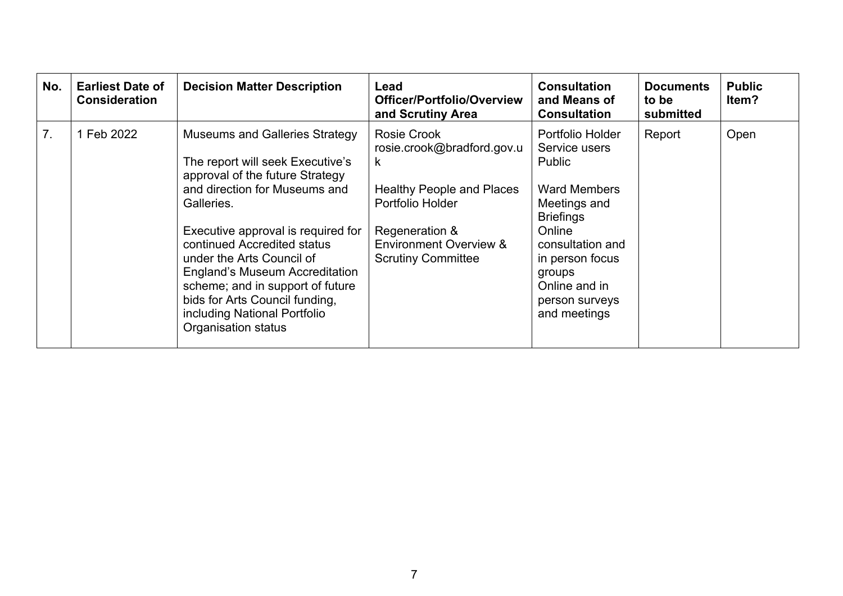| No.            | <b>Earliest Date of</b><br><b>Consideration</b> | <b>Decision Matter Description</b>                                                                                                                                                                                                                                                                                                                                                                                                  | Lead<br><b>Officer/Portfolio/Overview</b><br>and Scrutiny Area                                                                                                                                     | <b>Consultation</b><br>and Means of<br><b>Consultation</b>                                                                                                                                                           | <b>Documents</b><br>to be<br>submitted | <b>Public</b><br>ltem? |
|----------------|-------------------------------------------------|-------------------------------------------------------------------------------------------------------------------------------------------------------------------------------------------------------------------------------------------------------------------------------------------------------------------------------------------------------------------------------------------------------------------------------------|----------------------------------------------------------------------------------------------------------------------------------------------------------------------------------------------------|----------------------------------------------------------------------------------------------------------------------------------------------------------------------------------------------------------------------|----------------------------------------|------------------------|
| 7 <sub>1</sub> | 1 Feb 2022                                      | <b>Museums and Galleries Strategy</b><br>The report will seek Executive's<br>approval of the future Strategy<br>and direction for Museums and<br>Galleries.<br>Executive approval is required for<br>continued Accredited status<br>under the Arts Council of<br><b>England's Museum Accreditation</b><br>scheme; and in support of future<br>bids for Arts Council funding,<br>including National Portfolio<br>Organisation status | <b>Rosie Crook</b><br>rosie.crook@bradford.gov.u<br>k.<br><b>Healthy People and Places</b><br>Portfolio Holder<br>Regeneration &<br><b>Environment Overview &amp;</b><br><b>Scrutiny Committee</b> | Portfolio Holder<br>Service users<br>Public<br><b>Ward Members</b><br>Meetings and<br><b>Briefings</b><br>Online<br>consultation and<br>in person focus<br>groups<br>Online and in<br>person surveys<br>and meetings | Report                                 | Open                   |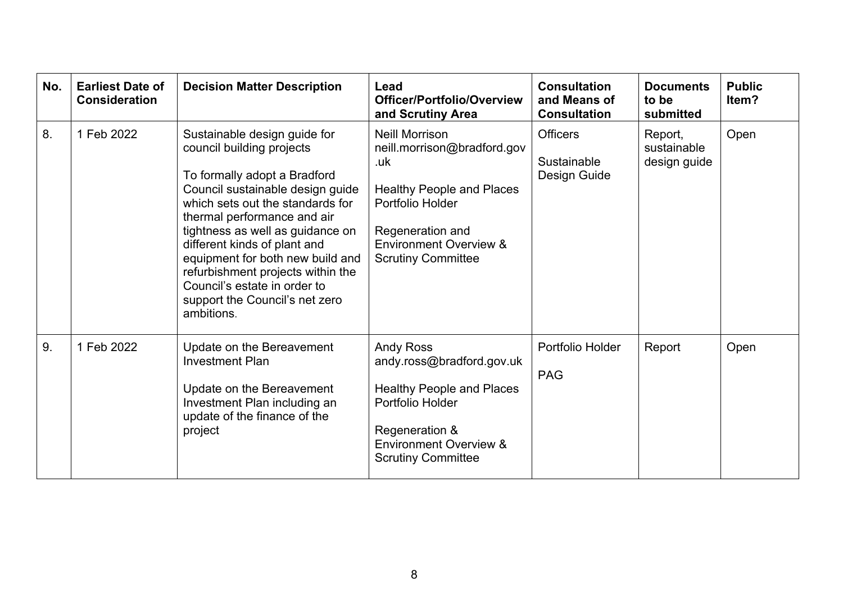| No. | <b>Earliest Date of</b><br><b>Consideration</b> | <b>Decision Matter Description</b>                                                                                                                                                                                                                                                                                                                                                                                            | Lead<br>Officer/Portfolio/Overview<br>and Scrutiny Area                                                                                                                                                   | <b>Consultation</b><br>and Means of<br><b>Consultation</b> | <b>Documents</b><br>to be<br>submitted | <b>Public</b><br>Item? |
|-----|-------------------------------------------------|-------------------------------------------------------------------------------------------------------------------------------------------------------------------------------------------------------------------------------------------------------------------------------------------------------------------------------------------------------------------------------------------------------------------------------|-----------------------------------------------------------------------------------------------------------------------------------------------------------------------------------------------------------|------------------------------------------------------------|----------------------------------------|------------------------|
| 8.  | 1 Feb 2022                                      | Sustainable design guide for<br>council building projects<br>To formally adopt a Bradford<br>Council sustainable design guide<br>which sets out the standards for<br>thermal performance and air<br>tightness as well as guidance on<br>different kinds of plant and<br>equipment for both new build and<br>refurbishment projects within the<br>Council's estate in order to<br>support the Council's net zero<br>ambitions. | <b>Neill Morrison</b><br>neill.morrison@bradford.gov<br>.uk<br><b>Healthy People and Places</b><br>Portfolio Holder<br>Regeneration and<br><b>Environment Overview &amp;</b><br><b>Scrutiny Committee</b> | <b>Officers</b><br>Sustainable<br>Design Guide             | Report,<br>sustainable<br>design guide | Open                   |
| 9.  | 1 Feb 2022                                      | Update on the Bereavement<br><b>Investment Plan</b><br>Update on the Bereavement<br>Investment Plan including an<br>update of the finance of the<br>project                                                                                                                                                                                                                                                                   | <b>Andy Ross</b><br>andy.ross@bradford.gov.uk<br><b>Healthy People and Places</b><br>Portfolio Holder<br>Regeneration &<br><b>Environment Overview &amp;</b><br><b>Scrutiny Committee</b>                 | Portfolio Holder<br><b>PAG</b>                             | Report                                 | Open                   |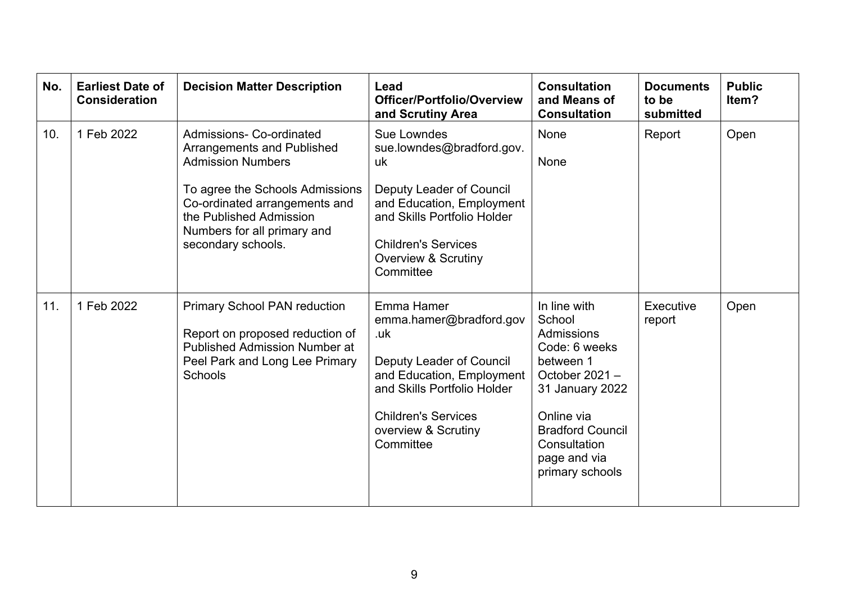| No. | <b>Earliest Date of</b><br><b>Consideration</b> | <b>Decision Matter Description</b>                                                                                                                                                                                                            | Lead<br>Officer/Portfolio/Overview<br>and Scrutiny Area                                                                                                                                                                    | <b>Consultation</b><br>and Means of<br><b>Consultation</b>                                                                                                                                                | <b>Documents</b><br>to be<br>submitted | <b>Public</b><br>Item? |
|-----|-------------------------------------------------|-----------------------------------------------------------------------------------------------------------------------------------------------------------------------------------------------------------------------------------------------|----------------------------------------------------------------------------------------------------------------------------------------------------------------------------------------------------------------------------|-----------------------------------------------------------------------------------------------------------------------------------------------------------------------------------------------------------|----------------------------------------|------------------------|
| 10. | 1 Feb 2022                                      | Admissions- Co-ordinated<br><b>Arrangements and Published</b><br><b>Admission Numbers</b><br>To agree the Schools Admissions<br>Co-ordinated arrangements and<br>the Published Admission<br>Numbers for all primary and<br>secondary schools. | Sue Lowndes<br>sue.lowndes@bradford.gov.<br>uk<br><b>Deputy Leader of Council</b><br>and Education, Employment<br>and Skills Portfolio Holder<br><b>Children's Services</b><br><b>Overview &amp; Scrutiny</b><br>Committee | None<br>None                                                                                                                                                                                              | Report                                 | Open                   |
| 11. | 1 Feb 2022                                      | <b>Primary School PAN reduction</b><br>Report on proposed reduction of<br><b>Published Admission Number at</b><br>Peel Park and Long Lee Primary<br>Schools                                                                                   | Emma Hamer<br>emma.hamer@bradford.gov<br>.uk<br>Deputy Leader of Council<br>and Education, Employment<br>and Skills Portfolio Holder<br><b>Children's Services</b><br>overview & Scrutiny<br>Committee                     | In line with<br>School<br><b>Admissions</b><br>Code: 6 weeks<br>between 1<br>October 2021-<br>31 January 2022<br>Online via<br><b>Bradford Council</b><br>Consultation<br>page and via<br>primary schools | Executive<br>report                    | Open                   |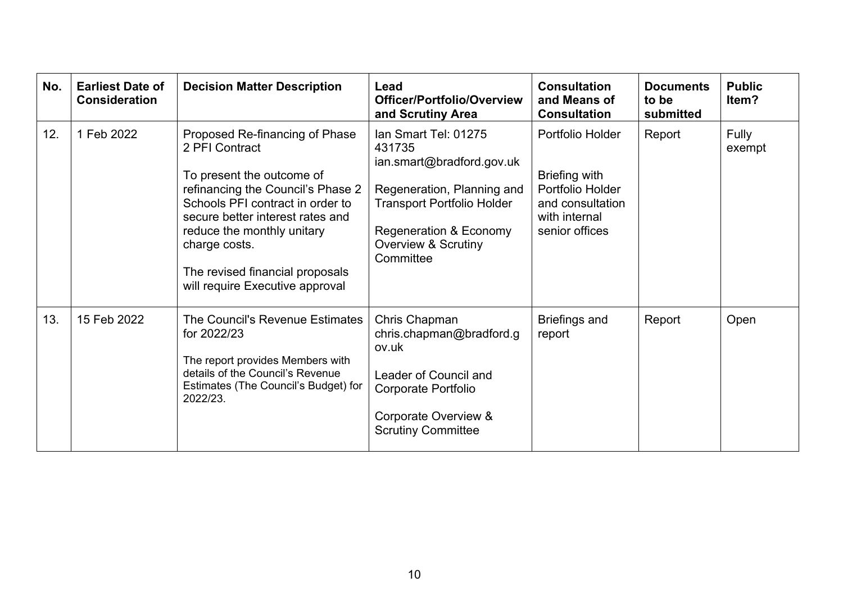| No. | <b>Earliest Date of</b><br><b>Consideration</b> | <b>Decision Matter Description</b>                                                                                                                                                                                                                                                                              | Lead<br><b>Officer/Portfolio/Overview</b><br>and Scrutiny Area                                                                                                                                          | <b>Consultation</b><br>and Means of<br><b>Consultation</b>                                                   | <b>Documents</b><br>to be<br>submitted | <b>Public</b><br>ltem? |
|-----|-------------------------------------------------|-----------------------------------------------------------------------------------------------------------------------------------------------------------------------------------------------------------------------------------------------------------------------------------------------------------------|---------------------------------------------------------------------------------------------------------------------------------------------------------------------------------------------------------|--------------------------------------------------------------------------------------------------------------|----------------------------------------|------------------------|
| 12. | 1 Feb 2022                                      | Proposed Re-financing of Phase<br>2 PFI Contract<br>To present the outcome of<br>refinancing the Council's Phase 2<br>Schools PFI contract in order to<br>secure better interest rates and<br>reduce the monthly unitary<br>charge costs.<br>The revised financial proposals<br>will require Executive approval | Ian Smart Tel: 01275<br>431735<br>ian.smart@bradford.gov.uk<br>Regeneration, Planning and<br><b>Transport Portfolio Holder</b><br>Regeneration & Economy<br><b>Overview &amp; Scrutiny</b><br>Committee | Portfolio Holder<br>Briefing with<br>Portfolio Holder<br>and consultation<br>with internal<br>senior offices | Report                                 | Fully<br>exempt        |
| 13. | 15 Feb 2022                                     | The Council's Revenue Estimates<br>for 2022/23<br>The report provides Members with<br>details of the Council's Revenue<br>Estimates (The Council's Budget) for<br>2022/23.                                                                                                                                      | Chris Chapman<br>chris.chapman@bradford.g<br>ov.uk<br>Leader of Council and<br>Corporate Portfolio<br>Corporate Overview &<br><b>Scrutiny Committee</b>                                                 | <b>Briefings and</b><br>report                                                                               | Report                                 | Open                   |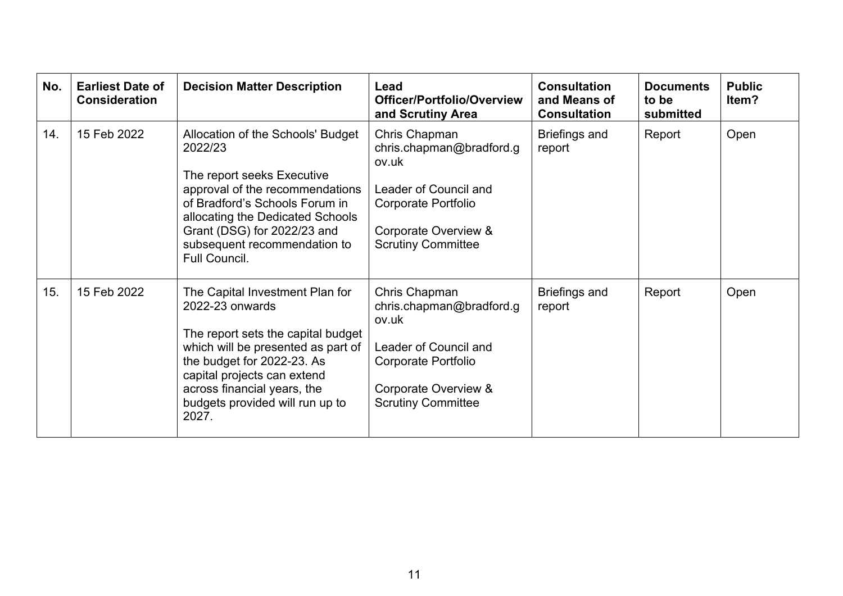| No. | <b>Earliest Date of</b><br><b>Consideration</b> | <b>Decision Matter Description</b>                                                                                                                                                                                                                                     | Lead<br><b>Officer/Portfolio/Overview</b><br>and Scrutiny Area                                                                                          | <b>Consultation</b><br>and Means of<br><b>Consultation</b> | <b>Documents</b><br>to be<br>submitted | <b>Public</b><br>Item? |
|-----|-------------------------------------------------|------------------------------------------------------------------------------------------------------------------------------------------------------------------------------------------------------------------------------------------------------------------------|---------------------------------------------------------------------------------------------------------------------------------------------------------|------------------------------------------------------------|----------------------------------------|------------------------|
| 14. | 15 Feb 2022                                     | Allocation of the Schools' Budget<br>2022/23<br>The report seeks Executive<br>approval of the recommendations<br>of Bradford's Schools Forum in<br>allocating the Dedicated Schools<br>Grant (DSG) for 2022/23 and<br>subsequent recommendation to<br>Full Council.    | Chris Chapman<br>chris.chapman@bradford.g<br>ov.uk<br>Leader of Council and<br>Corporate Portfolio<br>Corporate Overview &<br><b>Scrutiny Committee</b> | <b>Briefings and</b><br>report                             | Report                                 | Open                   |
| 15. | 15 Feb 2022                                     | The Capital Investment Plan for<br>2022-23 onwards<br>The report sets the capital budget<br>which will be presented as part of<br>the budget for 2022-23. As<br>capital projects can extend<br>across financial years, the<br>budgets provided will run up to<br>2027. | Chris Chapman<br>chris.chapman@bradford.g<br>ov.uk<br>Leader of Council and<br>Corporate Portfolio<br>Corporate Overview &<br><b>Scrutiny Committee</b> | <b>Briefings and</b><br>report                             | Report                                 | Open                   |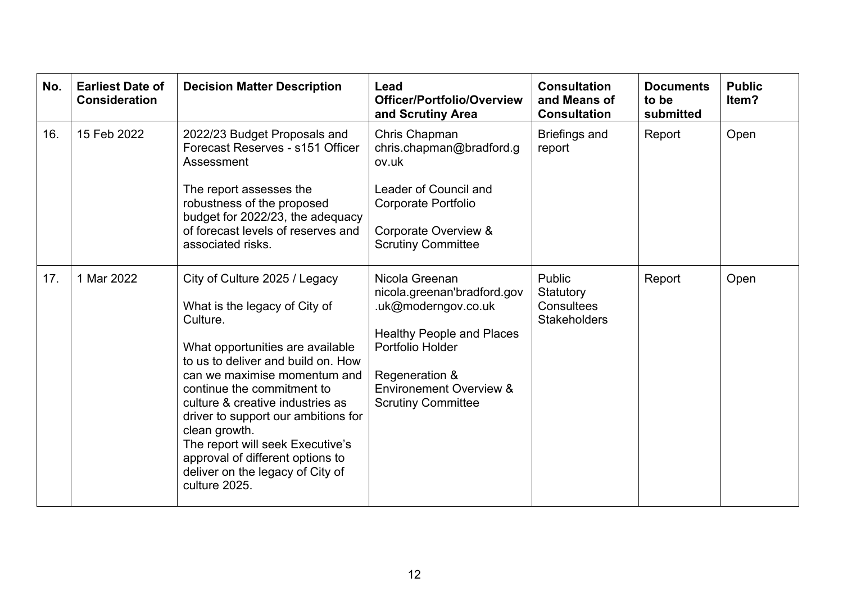| No. | <b>Earliest Date of</b><br><b>Consideration</b> | <b>Decision Matter Description</b>                                                                                                                                                                                                                                                                                                                                                                                                          | Lead<br><b>Officer/Portfolio/Overview</b><br>and Scrutiny Area                                                                                                                                                    | <b>Consultation</b><br>and Means of<br><b>Consultation</b> | <b>Documents</b><br>to be<br>submitted | <b>Public</b><br>Item? |
|-----|-------------------------------------------------|---------------------------------------------------------------------------------------------------------------------------------------------------------------------------------------------------------------------------------------------------------------------------------------------------------------------------------------------------------------------------------------------------------------------------------------------|-------------------------------------------------------------------------------------------------------------------------------------------------------------------------------------------------------------------|------------------------------------------------------------|----------------------------------------|------------------------|
| 16. | 15 Feb 2022                                     | 2022/23 Budget Proposals and<br>Forecast Reserves - s151 Officer<br>Assessment<br>The report assesses the<br>robustness of the proposed<br>budget for 2022/23, the adequacy<br>of forecast levels of reserves and<br>associated risks.                                                                                                                                                                                                      | Chris Chapman<br>chris.chapman@bradford.g<br>ov.uk<br>Leader of Council and<br>Corporate Portfolio<br>Corporate Overview &<br><b>Scrutiny Committee</b>                                                           | <b>Briefings and</b><br>report                             | Report                                 | Open                   |
| 17. | 1 Mar 2022                                      | City of Culture 2025 / Legacy<br>What is the legacy of City of<br>Culture.<br>What opportunities are available<br>to us to deliver and build on. How<br>can we maximise momentum and<br>continue the commitment to<br>culture & creative industries as<br>driver to support our ambitions for<br>clean growth.<br>The report will seek Executive's<br>approval of different options to<br>deliver on the legacy of City of<br>culture 2025. | Nicola Greenan<br>nicola.greenan'bradford.gov<br>.uk@moderngov.co.uk<br><b>Healthy People and Places</b><br>Portfolio Holder<br>Regeneration &<br><b>Environement Overview &amp;</b><br><b>Scrutiny Committee</b> | Public<br>Statutory<br>Consultees<br><b>Stakeholders</b>   | Report                                 | Open                   |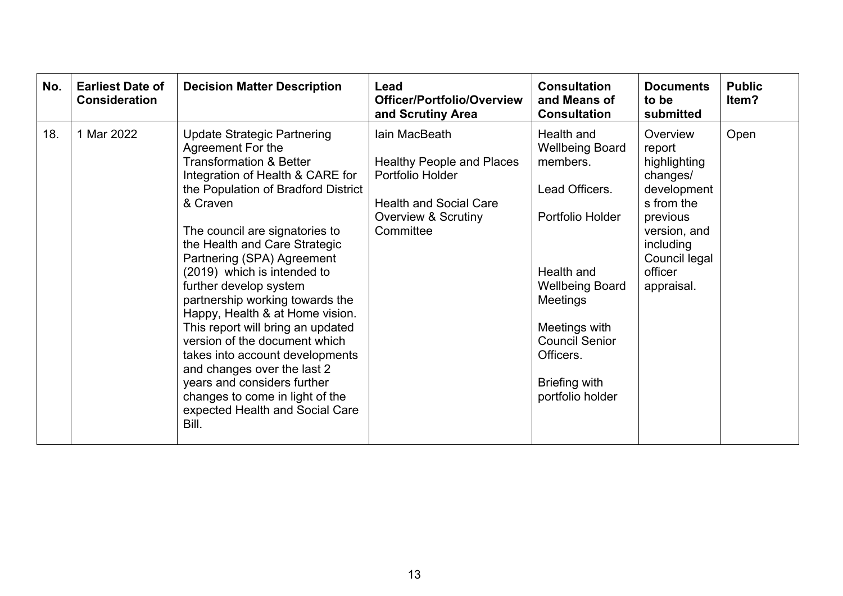| No. | <b>Earliest Date of</b><br><b>Consideration</b> | <b>Decision Matter Description</b>                                                                                                                                                                                                                                                                                                                                                                                                                                                                                                                                                                                                                                         | Lead<br><b>Officer/Portfolio/Overview</b><br>and Scrutiny Area                                                                                        | <b>Consultation</b><br>and Means of<br><b>Consultation</b>                                                                                                                                                                                    | <b>Documents</b><br>to be<br>submitted                                                                                                                         | <b>Public</b><br>ltem? |
|-----|-------------------------------------------------|----------------------------------------------------------------------------------------------------------------------------------------------------------------------------------------------------------------------------------------------------------------------------------------------------------------------------------------------------------------------------------------------------------------------------------------------------------------------------------------------------------------------------------------------------------------------------------------------------------------------------------------------------------------------------|-------------------------------------------------------------------------------------------------------------------------------------------------------|-----------------------------------------------------------------------------------------------------------------------------------------------------------------------------------------------------------------------------------------------|----------------------------------------------------------------------------------------------------------------------------------------------------------------|------------------------|
| 18. | 1 Mar 2022                                      | <b>Update Strategic Partnering</b><br>Agreement For the<br><b>Transformation &amp; Better</b><br>Integration of Health & CARE for<br>the Population of Bradford District<br>& Craven<br>The council are signatories to<br>the Health and Care Strategic<br>Partnering (SPA) Agreement<br>(2019) which is intended to<br>further develop system<br>partnership working towards the<br>Happy, Health & at Home vision.<br>This report will bring an updated<br>version of the document which<br>takes into account developments<br>and changes over the last 2<br>years and considers further<br>changes to come in light of the<br>expected Health and Social Care<br>Bill. | lain MacBeath<br><b>Healthy People and Places</b><br>Portfolio Holder<br><b>Health and Social Care</b><br><b>Overview &amp; Scrutiny</b><br>Committee | Health and<br><b>Wellbeing Board</b><br>members.<br>Lead Officers.<br>Portfolio Holder<br>Health and<br><b>Wellbeing Board</b><br><b>Meetings</b><br>Meetings with<br><b>Council Senior</b><br>Officers.<br>Briefing with<br>portfolio holder | Overview<br>report<br>highlighting<br>changes/<br>development<br>s from the<br>previous<br>version, and<br>including<br>Council legal<br>officer<br>appraisal. | Open                   |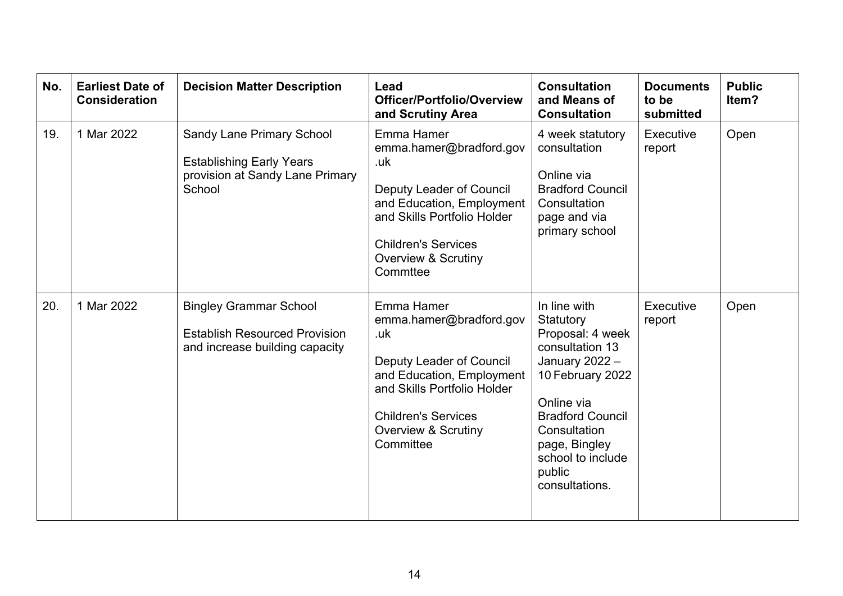| No. | <b>Earliest Date of</b><br><b>Consideration</b> | <b>Decision Matter Description</b>                                                                               | Lead<br>Officer/Portfolio/Overview<br>and Scrutiny Area                                                                                                                                                                 | <b>Consultation</b><br>and Means of<br><b>Consultation</b>                                                                                                                                                                        | <b>Documents</b><br>to be<br>submitted | <b>Public</b><br>ltem? |
|-----|-------------------------------------------------|------------------------------------------------------------------------------------------------------------------|-------------------------------------------------------------------------------------------------------------------------------------------------------------------------------------------------------------------------|-----------------------------------------------------------------------------------------------------------------------------------------------------------------------------------------------------------------------------------|----------------------------------------|------------------------|
| 19. | 1 Mar 2022                                      | <b>Sandy Lane Primary School</b><br><b>Establishing Early Years</b><br>provision at Sandy Lane Primary<br>School | Emma Hamer<br>emma.hamer@bradford.gov<br>.uk<br><b>Deputy Leader of Council</b><br>and Education, Employment<br>and Skills Portfolio Holder<br><b>Children's Services</b><br><b>Overview &amp; Scrutiny</b><br>Commttee | 4 week statutory<br>consultation<br>Online via<br><b>Bradford Council</b><br>Consultation<br>page and via<br>primary school                                                                                                       | Executive<br>report                    | Open                   |
| 20. | 1 Mar 2022                                      | <b>Bingley Grammar School</b><br><b>Establish Resourced Provision</b><br>and increase building capacity          | Emma Hamer<br>emma.hamer@bradford.gov<br>.uk<br>Deputy Leader of Council<br>and Education, Employment<br>and Skills Portfolio Holder<br><b>Children's Services</b><br><b>Overview &amp; Scrutiny</b><br>Committee       | In line with<br>Statutory<br>Proposal: 4 week<br>consultation 13<br>January 2022 -<br>10 February 2022<br>Online via<br><b>Bradford Council</b><br>Consultation<br>page, Bingley<br>school to include<br>public<br>consultations. | Executive<br>report                    | Open                   |